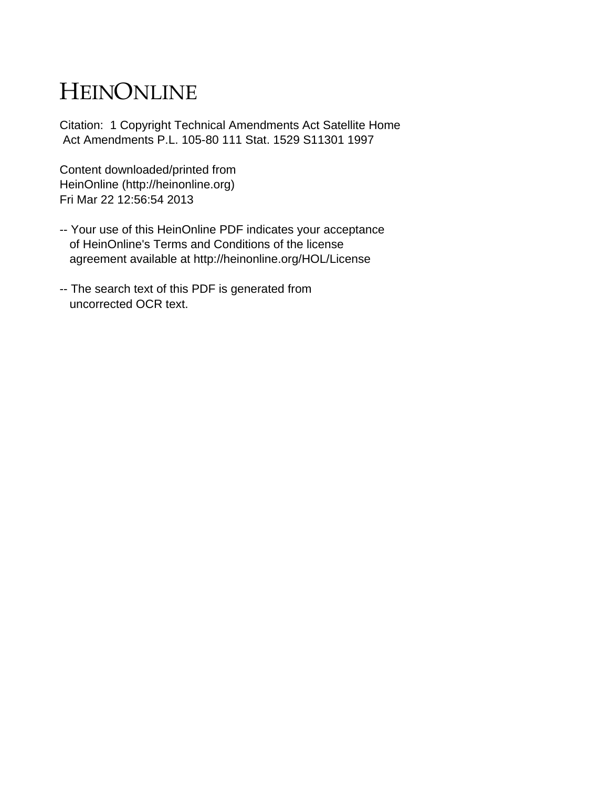# HEINONLINE

Citation: 1 Copyright Technical Amendments Act Satellite Home Act Amendments P.L. 105-80 111 Stat. 1529 S11301 1997

Content downloaded/printed from HeinOnline (http://heinonline.org) Fri Mar 22 12:56:54 2013

- -- Your use of this HeinOnline PDF indicates your acceptance of HeinOnline's Terms and Conditions of the license agreement available at http://heinonline.org/HOL/License
- -- The search text of this PDF is generated from uncorrected OCR text.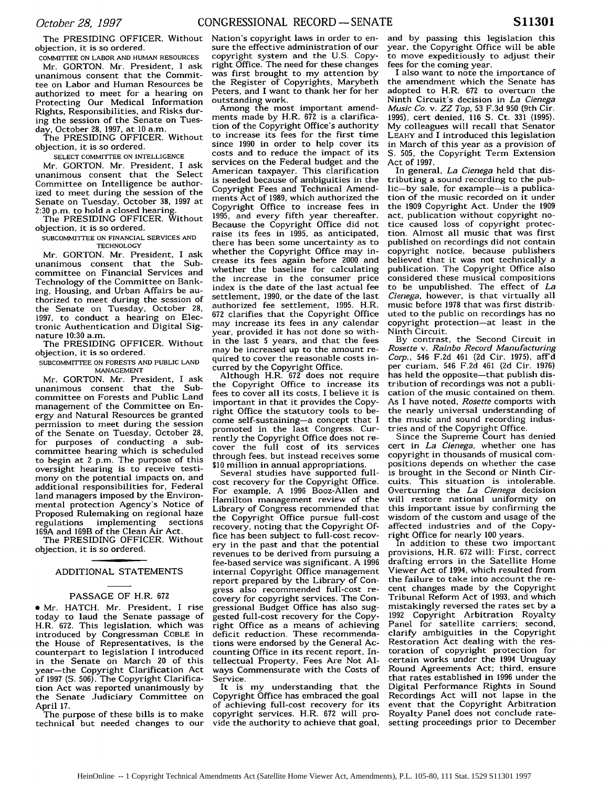objection, it is so ordered.

COMMITTEE **ON** LABOR **AND HUMAN RESOURCES** Mr. GORTON. Mr. President, I ask unanimous consent that the Committee on Labor and Human Resources be authorized to meet for a hearing on Protecting Our Medical Information Rights, Responsibilities, and Risks during the session of the Senate on Tuesday, October 28, 1997, at 10 a.m.

The PRESIDING OFFICER. Without objection, it is so ordered.

**SELECT** COMMITTEE **ON** INTELLIGENCE

Mr. GORTON. Mr. President, I ask unanimous consent that the Select Committee on Intelligence be authorized to meet during the session of the Senate on Tuesday, October **38,** 1997 at 2:30 p.m. to hold a closed hearing.

The PRESIDING OFFICER. Without objection, it is so ordered.

SUBCOMMITTEE **ON FINANCIAL** SERVICES **AND TECHNOLOGY**

Mr. GORTON. Mr. President, I ask unanimous consent that the Subcommittee on Financial Services and Technology of the Committee on Banking, Housing, and Urban Affairs be authorized to meet during the session of the Senate on Tuesday, October 28, 1997, to conduct a hearing on Electronic Authentication and Digital Signature 10:30 a.m.

The PRESIDING OFFICER. Without objection, it is so ordered.

SUBCOMMITTEE **ON** FORESTS **AND PUBLIC LAND MANAGEMENT**

Mr. GORTON. Mr. President, I ask unanimous consent that the Subcommittee on Forests and Public Land management of the Committee on Energy and Natural Resources be granted permission to meet during the session of the Senate on Tuesday, October 28, for purposes of conducting a subcommittee hearing which is scheduled to begin at 2 p.m. The purpose of this oversight hearing is to receive testimony on the potential impacts on, and additional responsibilities for, Federal land managers imposed by the Environmental protection Agency's Notice of Proposed Rulemaking on regional haze<br>regulations implementing sections regulations implementing 169A and 169B of the Clean Air Act.

The PRESIDING OFFICER. Without objection, it is so ordered.

#### ADDITIONAL STATEMENTS

# PASSAGE OF H.R. **672**

 $\bullet$  Mr. HATCH. Mr. President, I rise today to laud the Senate passage of H.R. 672. This legislation, which was introduced by Congressman COBLE in the House of Representatives, is the counterpart to legislation I introduced in the Senate on March 20 of this year-the Copyright Clarification Act of 1997 **(S.** 506). The Copyright Clarification Act was reported unanimously by the Senate Judiciary Committee on April 17.

The purpose of these bills is to make technical but needed changes to our

The PRESIDING OFFICER. Without Nation's copyright laws in order to ensure the effective administration of our copyright system and the U.S. Copyright Office. The need for these changes was first brought to my attention by the Register of Copyrights, Marybeth Peters, and I want to thank her for her outstanding work.

Among the most important amendments made by H.R. **672** is a clarification of the Copyright Office's authority to increase its fees for the first time since 1990 in order to help cover its costs and to reduce the impact of its services on the Federal budget and the American taxpayer. This clarification is needed because of ambiguities in the Copyright Fees and Technical Amendments Act of 1989, which authorized the Copyright Office to increase fees in 1995, and every fifth year thereafter. Because the Copyright Office did not raise its fees in 1995, as anticipated, there has been some uncertainty as to whether the Copyright Office may increase its fees again before 2000 and whether the baseline for calculating the increase in the consumer price index is the date of the last actual fee settlement, 1990, or the date of the last authorized fee settlement, 1995. H.R. 672 clarifies that the Copyright Office may increase its fees in any calendar year, provided it has not done so within the last 5 years, and that the fees may be increased up to the amount required to cover the reasonable costs incurred by the Copyright Office.

Although H.R. 672 does not require the Copyright Office to increase its fees to cover all its costs, I believe it is important in that it provides the Copyright Office the statutory tools to become self-sustaining-a concept that I promoted in the last Congress. Currently the Copyright Office does not recover the full cost of its services through fees, but instead receives some **\$10** million in annual appropriations.

Several studies have supported fullcost recovery for the Copyright Office. For example, A 1996 Booz-Allen and Hamilton management review of the Library of Congress recommended that the Copyright Office pursue full-cost recovery, noting that the Copyright Office has been subject to full-cost recovery in the past and that the potential revenues to be derived from pursuing a fee-based service was significant. A 1996 internal Copyright Office management report prepared by the Library of Congress also recommended full-cost recovery for copyright services. The Congressional Budget Office has also suggested full-cost recovery for the Copyright Office as a means of achieving deficit reduction. These recommendations were endorsed by the General Accounting Office in its recent report, Intellectual Property, Fees Are Not Always Commensurate with the Costs of Service.

It is my understanding that the Copyright Office has embraced the goal of achieving full-cost recovery for its copyright services. H.R. 672 will provide the authority to achieve that goal, and by passing this legislation this year, the Copyright Office will be able to move expeditiously to adjust their fees for the coming year.

I also want to note the importance of the amendment which the Senate has adopted to H.R. **672** to overturn the Ninth Circuit's decision in *La Cienega Music Co. v. ZZ Top,* 53 F.3d 950 (9th Cir. 1995), cert denied, 116 **S.** Ct. 331 (1995). My colleagues will recall that Senator **LEAHY** and I introduced this legislation in March of this year as a provision of **S. 505,** the Copyright Term Extension Act of 1997.

In general, *La Cienega* held that distributing a sound recording to the public-by sale, for example-is a publication of the music recorded on it under the 1909 Copyright Act. Under the 1909 act, publication without copyright notice caused loss of copyright protection. Almost all music that was first published on recordings did not contain copyright notice, because publishers believed that it was not technically a publication. The Copyright Office also considered these musical compositions to be unpublished. The effect of *La Cienega,* however, is that virtually all music before 1978 that was first distributed to the public on recordings has no copyright protection-at least in the Ninth Circuit.

By contrast, the Second Circuit in *Rosette v. Rainbo Record Manufacturing Corp.,* 546 F.2d 461 **(2d** Cir. 1975), aff'd per curiam, 546 F.2d 461 (2d Cir. 1976) has held the opposite-that publish distribution of recordings was not a publication of the music contained on them. As I have noted, *Rosette* comports with the nearly universal understanding of the music and sound recording industries and of the Copyright Office.

Since the Supreme Court has denied cert in *La Cienega,* whether one has copyright in thousands of musical compositions depends on whether the case is brought in the Second or Ninth Circuits. This situation is intolerable. Overturning the *La Cienega* decision will restore national uniformity on this important issue by confirming the wisdom of the custom and usage of the affected industries and of the Copyright Office for nearly 100 years.

In addition to these two important provisions, H.R. **672** will: First, correct drafting errors in the Satellite Home Viewer Act of 1994, which resulted from the failure to take into account the recent changes made by the Copyright Tribunal Reform Act of 1993, and which mistakingly reversed the rates set by a 1992 Copyright Arbitration Royalty Panel for satellite carriers; second, clarify ambiguities in the Copyright Restoration Act dealing with the restoration of copyright protection for certain works under the 1994 Uruguay Round Agreements Act; third, ensure that rates established in 1996 under the Digital Performance Rights in Sound Recordings Act will not lapse in the event that the Copyright Arbitration Royalty Panel does not conclude ratesetting proceedings prior to December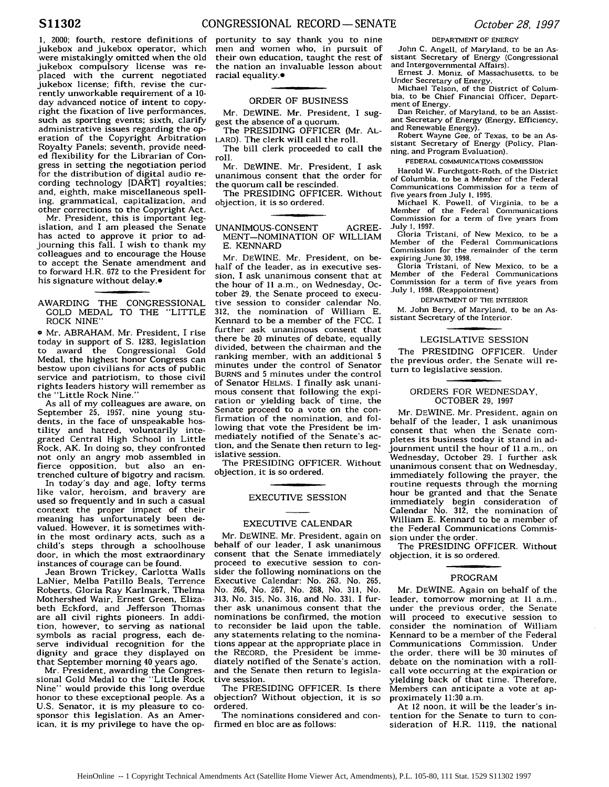1, 2000; fourth, restore definitions of jukebox and jukebox operator, which were mistakingly omitted when the old jukebox compulsory license was replaced with the current negotiated jukebox license; fifth, revise the currently unworkable requirement of a **10** day advanced notice of intent to copyright the fixation of live performances, such as sporting events; sixth, clarify administrative issues regarding the operation of the Copyright Arbitration Royalty Panels; seventh, provide needed flexibility for the Librarian of Congress in setting the negotiation period for the distribution of digital audio recording technology [DART] royalties: and, eighth, make miscellaneous spelling, grammatical, capitalization, and other corrections to the Copyright Act.

Mr. President, this is important legislation, and I am pleased the Senate has acted to approve it prior to adjourning this fall. I wish to thank my colleagues and to encourage the House to accept the Senate amendment and to forward H.R. **672** to the President for his signature without delay.<sup>•</sup>

### AWARDING THE CONGRESSIONAL GOLD MEDAL TO THE "LITTLE ROCK NINE"

**a** Mr. ABRAHAM. Mr. President, I rise today in support of **S.** 1283, legislation to award the Congressional Gold Medal, the highest honor Congress can bestow upon civilians for acts of public service and patriotism, to those civil rights leaders history will remember as the "Little Rock Nine."

As all of my colleagues are aware, on September **25,** 1957, nine young students, in the face of unspeakable hostility and hatred, voluntarily integrated Central High School in Little Rock, AK. In doing so. they confronted not only an angry mob assembled in fierce opposition, but also an entrenched culture of bigotry and racism.

In today's day and age, lofty terms like valor, heroism, and bravery are used so frequently and in such a casual context the proper impact of their meaning has unfortunately been devalued. However, it is sometimes within the most ordinary acts, such as a child's steps through a schoolhouse door, in which the most extraordinary instances of courage can be found.

Jean Brown Trickey, Carlotta Walls LaNier, Melba Patillo Beals, Terrence Roberts, Gloria Ray Karlmark, Thelma Mothershed Wair, Ernest Green, Elizabeth Eckford, and Jefferson Thomas are all civil rights pioneers. In addition, however, to serving as national symbols as racial progress, each deserve individual recognition for the dignity and grace they displayed on that September morning 40 years ago.

Mr. President, awarding the Congressional Gold Medal to the "Little Rock Nine" would provide this long overdue honor to these exceptional people. As a U.S. Senator, it is my pleasure to cosponsor this legislation. As an American, it is my privilege to have the opportunity to say thank you to nine men and women who, in pursuit of their own education, taught the rest of the nation an invaluable lesson about racial equality.e

# ORDER OF BUSINESS

Mr. DEWINE. Mr. President, I suggest the absence of a quorum.

The PRESIDING OFFICER (Mr. AL-LARD). The clerk will call the roll.

The bill clerk proceeded to call the roll.

Mr. DEWINE. Mr. President, I ask unanimous consent that the order for the quorum call be rescinded.

The PRESIDING OFFICER. Without objection, it is so ordered.

#### UNANIMOUS-CONSENT AGREE-MENT-NOMINATION OF WILLIAM E. KENNARD

Mr. DEWINE. Mr. President, on behalf of the leader, as in executive session, I ask unanimous consent that at the hour of 11 a.m., on Wednesday, October **29,** the Senate proceed to executive session to consider calendar No. 312, the nomination of William E. Kennard to be a member of the FCC. I further ask unanimous consent that there be 20 minutes of debate, equally divided, between the chairman and the ranking member, with an additional 5 minutes under the control of Senator BURNS and 5 minutes under the control of Senator HELMS. I finally ask unanimous consent that following the expiration or yielding back of time, the Senate proceed to a vote on the confirmation of the nomination, and following that vote the President be immediately notified of the Senate's action, and the Senate then return to legislative session.

The PRESIDING OFFICER. Without objection, it is so ordered.

## EXECUTIVE SESSION

# EXECUTIVE CALENDAR

Mr. DEWINE. Mr. President, again on behalf of our leader, I ask unanimous consent that the Senate immediately proceed to executive session to consider the following nominations on the Executive Calendar: No. 263, No. 265, No. 266, No. 267, No. **268,** No. 311, No. 313, No. 315, No. **316,** and No. 331. I further ask unanimous consent that the nominations be confirmed, the motion to reconsider be laid upon the table, any statements relating to the nominations appear at the appropriate place in the RECORD, the President be immediately notified of the Senate's action, and the Senate then return to legislative session.

The PRESIDING OFFICER. Is there objection? Without objection, it is so ordered.

The nominations considered and confirmed en bloc are as follows:

#### DEPARTMENT OF ENERGY

John C. Angell. of Maryland, to be an Assistant Secretary of Energy (Congressional and Intergovernmental Affairs).

Ernest J. Moniz, of Massachusetts. to be Under Secretary of Energy.

Michael Telson, of the District of Columbia. to be Chief Financial Officer, Department of Energy.

Dan Reicher, of Maryland. to be an Assistant Secretary of Energy (Energy. Efficiency. and Renewable Energy).

Robert Wayne Gee, of Texas, to be an Assistant Secretary of Energy (Policy, Planning. and Program Evaluation).

FEDERAL COMMUNICATIONS COMMISSION

Harold W. Furchtgott-Roth, of the District of Columbia, to be a Member of the Federal Communications Commission for a term of five years from July **1.** 1995.

Michael K. Powell. of Virginia. to be a Member of the Federal Communications Commission for a term of five years from July **1,** 1997.

Gloria Tristani. of New Mexico, to be a Member of the Federal Communications Commission for the remainder of the term

expiring June 30, 1998.<br>
Gloria Tristani, of New Mexico, to be a Gloria Tristani, of New Mexico. to be a Member of the Federal Communications Commission for a term of five years from July **1,** 1998. (Reappointment)

DEPARTMENT OF THE INTERIOR

M. John Berry, of Maryland. to be an Assistant Secretary of the Interior.

#### LEGISLATIVE SESSION

The PRESIDING OFFICER. Under the previous order, the Senate will return to legislative session.

## ORDERS FOR WEDNESDAY, OCTOBER **29,** 1997

Mr. DEWINE. Mr. President, again on behalf of the leader, I ask unanimous consent that when the Senate completes its business today it stand in adjournment until the hour of 11 a.m.. on Wednesday, October 29. I further ask unanimous consent that on Wednesday, immediately following the prayer, the routine requests through the morning hour be granted and that the Senate immediately begin consideration of Calendar No. 312, the nomination of William E. Kennard to be a member of the Federal Communications Commission under the order.

The PRESIDING OFFICER. Without objection, it is so ordered.

## PROGRAM

Mr. DEWINE. Again on behalf of the leader, tomorrow morning at 11 a.m., under the previous order, the Senate will proceed to executive session to consider the nomination of William Kennard to be a member of the Federal Communications Commission. Under the order, there will be 30 minutes of debate on the nomination with a rollcall vote occurring at the expiration or yielding back of that time. Therefore, Members can anticipate a vote at approximately 11:30 a.m.

At 12 noon, it will be the leader's intention for the Senate to turn to consideration of H.R. 1119, the national